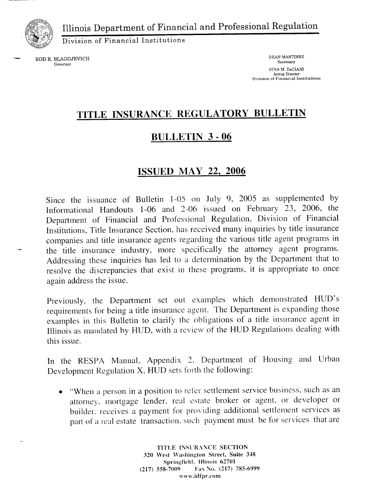Illinois Department of Financial and Professional Regulation



Division of Financial Institutions

ROD R. BLAGOJEVICH DEAN MARTINEZ Secretary Secretary Secretary **Governor**  GINA M. De CIANI Acting Director **Division of Financial Institutions** 

# **TITLE INSURANCE REGULATORY BULLETIN**

### **BULLETIN 3 - 06**

### **ISSUED MAY 22, 2006**

Since the issuance of Bulletin 1-05 on July 9, 2005 as supplemented by Informational Handouts 1-06 and 2-06 issued on February 23, 2006, the Department of Financial and Professional Regulation, Division of Financial Institutions, Title Insurance Section, has received many inquiries by title insurance companies and title insurance agents regarding the various title agent programs in the title insurance industry, more specifically the attorney agent programs. Addressing these inquiries has led to a determination by the Department that to resolve the discrepancies that exist in these programs, it is appropriate to once again address the issue.

Previously, the Department set out examples which demonstrated HUD's requirements for being a title insurance agent. The Department is expanding those examples in this Bulletin to clarify the obligations of a title insurance agent in Illinois as mandated by HUD, with a review of the HUD Regulations dealing with this issue.

In the RESPA Manual, Appendix 2. Department of Housing and Urban Development Regulation X, HUD sets forth the following:

• "When a person in a position to refer settlement service business, such as an attorney. mortgage lender, real estate broker or agent, or developer or builder. receives a payment for providing additional settlement services as part of a real estate transaction. such payment must be for services that are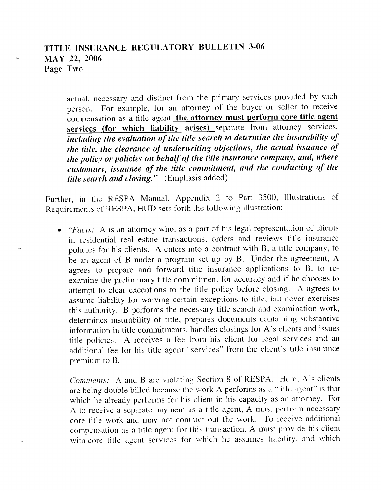### TITLE INSURANCE REGULATORY BULLETIN 3-06 **MAY 22, 2006 Page Two**

actual, necessary and distinct from the primary services provided by such person. For example, for an attorney of the buyer or seller to receive compensation as a title agent, **the attorney must perform core title agent services (for which liability arises)** separate from attorney services, *including the evaluation of the title search to determine the insurability of the title, the clearance of underwriting objections, the actual issuance of the policy or policies on behalf of the title insurance company, and, where customary, issuance of the title commitment, and the conducting of the title search and closing."* (Emphasis added)

Further, in the RESPA Manual, Appendix 2 to Part 3500, Illustrations of Requirements of **RESP** A, **HUD** sets forth the following illustration:

• *"Facts:* A is an attorney who, as a part of his legal representation of clients in residential real estate transactions, orders and reviews title insurance policies for his clients. A enters into a contract with B, a title company, to be an agent of B under a program set up by B. Under the agreement, A agrees to prepare and forward title insurance applications to B, to reexamine the preliminary title commitment for accuracy and if he chooses to attempt to clear exceptions to the title policy before closing. A agrees to assume liability for waiving certain exceptions to title, but never exercises this authority. B performs the necessary title search and examination work, determines insurability of title, prepares documents containing substantive information in title commitments, handles closings for A's clients and issues title policies. A receives a fee from his client for legal services and an additional fee for his title agent "services" from the client's title insurance premium to **B.** 

*Comments:* A and B are violating Section 8 of RESPA. Here, A's clients are being double billed because the work A performs as a "title agent" is that which he already performs for his client in his capacity as an attorney. For A to receive a separate payment as a title agent, A must perform necessary core title work and may not contract out the work. To receive additional compensation as a title agent for this transaction, A must provide his client with core title agent services for which he assumes liability, and which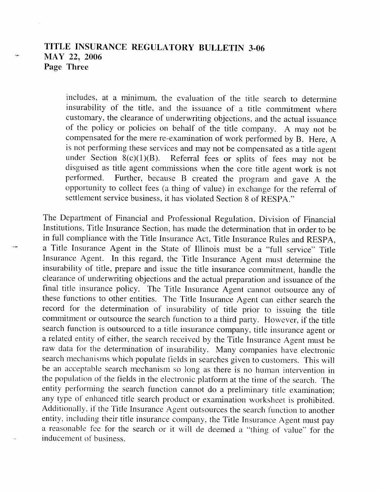### **TITLE INSURANCE REGULATORY BULLETIN 3-06 MAY 22, 2006 Page Three**

includes, at a minimum, the evaluation of the title search to determine insurability of the title, and the issuance of a title commitment where customary, the clearance of underwriting objections, and the actual issuance of the policy or policies on behalf of the title company. A may not be compensated for the mere re-examination of work performed by B. Here, A is not performing these services and may not be compensated as a title agent under Section  $8(c)(1)(B)$ . Referral fees or splits of fees may not be Referral fees or splits of fees may not be disguised as title agent commissions when the core title agent work is not performed. Further, because B created the program and gave A the Further, because B created the program and gave A the opportunity to collect fees (a thing of value) in exchange for the referral of settlement service business, it has violated Section 8 of RESPA."

The Department of Financial and Professional Regulation, Division of Financial Institutions, Title Insurance Section, has made the determination that in order to be in full compliance with the Title Insurance Act, Title Insurance Rules and RESPA, a Title Insurance Agent in the State of Illinois must be a "full service" Title Insurance Agent. In this regard, the Title Insurance Agent must determine the insurability of title, prepare and issue the title insurance commitment, handle the clearance of underwriting objections and the actual preparation and issuance of the final title insurance policy. The Title Insurance Agent cannot outsource any of these functions to other entities. The Title Insurance Agent can either search the record for the determination of insurability of title prior to issuing the title commitment or outsource the search function to a third party. However, if the title search function is outsourced to a title insurance company, title insurance agent or a related entity of either, the search received by the Title Insurance Agent must be raw data for the determination of insurability. Many companies have electronic search mechanisms which populate fields in searches given to customers. This will be an acceptable search mechanism so long as there is no human intervention in the population of the fields in the electronic platform at the time of the search. The entity performing the search function cannot do a preliminary title examination; any type of enhanced title search product or examination worksheet is prohibited. Additionally, if the Title Insurance Agent outsources the search function to another entity, including their title insurance company, the Title Insurance Agent must pay a reasonable fee for the search or it will de deemed a "thing of value" for the inducement of business.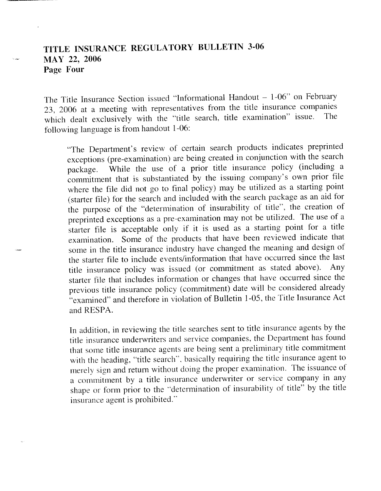# **TITLE INSURANCE REGULATORY BULLETIN 3-06 MAY 22, 2006 Page Four**

The Title Insurance Section issued "Informational Handout  $-1-06$ " on February 23, 2006 at a meeting with representatives from the title insurance companies<br>title dealt avaluatively with the "title search title examination" issue. The which dealt exclusively with the "title search, title examination" issue. following language is from handout 1-06:

"The Department's review of certain search products indicates preprinted exceptions (pre-examination) are being created in conjunction with the search package. While the use of a prior title insurance policy (including a commitment that is substantiated by the issuing company's own prior file where the file did not go to final policy) may be utilized as a starting point (starter file) for the search and included with the search package as an aid for the purpose of the "determination of insurability of title", the creation of preprinted exceptions as a pre-examination may not be utilized. The use of <sup>a</sup> starter file is acceptable only if it is used as a starting point for a title examination. Some of the products that have been reviewed indicate that some in the title insurance industry have changed the meaning and design of the starter file to include events/information that have occurred since the last title insurance policy was issued (or commitment as stated above). Any starter file that includes information or changes that have occurred since the previous title insurance policy (commitment) date will be considered already "examined" and therefore in violation of Bulletin 1-05, the Title Insurance Act and RESPA.

In addition, in reviewing the title searches sent to title insurance agents by the title insurance underwriters and service companies, the Department has found that some title insurance agents are being sent a preliminary title commitment with the heading, "title search", basically requiring the title insurance agent to merely sign and return without doing the proper examination. The issuance of a commitment by a title insurance underwriter or service company in any shape or form prior to the ·'determination of insurability of title" by the title insurance agent is prohibited."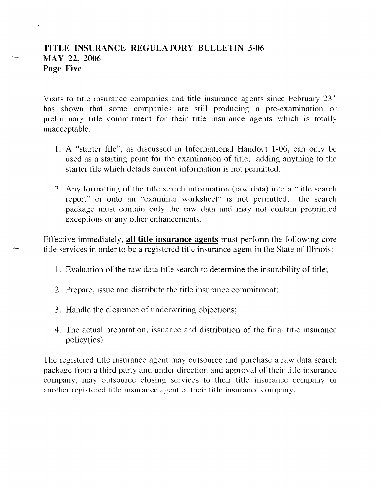### **TITLE INSURANCE REGULATORY BULLETIN 3-06 MAY 22, 2006 Page Five**

Visits to title insurance companies and title insurance agents since February 23rd has shown that some companies are still producing a pre-examination or preliminary title commitment for their title insurance agents which is totally unacceptable.

- 1. A "starter file", as discussed in Informational Handout 1-06, can only be used as a starting point for the examination of title; adding anything to the starter file which details current information is not permitted.
- 2. Any formatting of the title search information (raw data) into a "title search report" or onto an "examiner worksheet" is not permitted; the search package must contain only the raw data and may not contain preprinted exceptions or any other enhancements.

Effective immediately, **all title insurance agents** must perform the following core title services in order to be a registered title insurance agent in the State of Illinois:

- 1. Evaluation of the raw data title search to determine the insurability of title;
- 2. Prepare, issue and distribute the title insurance commitment;
- 3. Handle the clearance of underwriting objections;
- 4. The actual preparation, issuance and distribution of the final title insurance policy(ies).

The registered title insurance agent may outsource and purchase a raw data search package from a third party and under direction and approval of their title insurance company, may outsource closing services to their title insurance company or another registered title insurance agent of their title insurance company.